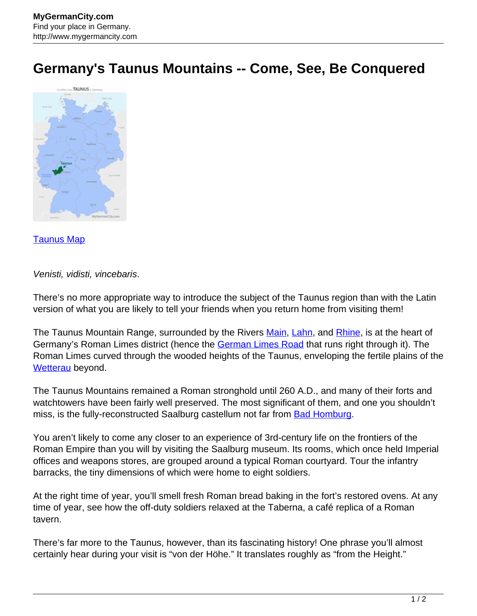## **Germany's Taunus Mountains -- Come, See, Be Conquered**



## [Taunus Map](http://www.mygermancity.com/taunus-map)

## Venisti, vidisti, vincebaris.

There's no more appropriate way to introduce the subject of the Taunus region than with the Latin version of what you are likely to tell your friends when you return home from visiting them!

The Taunus Mountain Range, surrounded by the Rivers [Main,](http://www.mygermancity.com/main) [Lahn](http://www.mygermancity.com/lahn-river), and [Rhine,](http://www.mygermancity.com/rhine) is at the heart of Germany's Roman Limes district (hence the [German Limes Road](http://www.mygermancity.com/german-limes-road) that runs right through it). The Roman Limes curved through the wooded heights of the Taunus, enveloping the fertile plains of the [Wetterau](http://www.mygermancity.com/wetterau) beyond.

The Taunus Mountains remained a Roman stronghold until 260 A.D., and many of their forts and watchtowers have been fairly well preserved. The most significant of them, and one you shouldn't miss, is the fully-reconstructed Saalburg castellum not far from [Bad Homburg](http://www.mygermancity.com/bad-homburg).

You aren't likely to come any closer to an experience of 3rd-century life on the frontiers of the Roman Empire than you will by visiting the Saalburg museum. Its rooms, which once held Imperial offices and weapons stores, are grouped around a typical Roman courtyard. Tour the infantry barracks, the tiny dimensions of which were home to eight soldiers.

At the right time of year, you'll smell fresh Roman bread baking in the fort's restored ovens. At any time of year, see how the off-duty soldiers relaxed at the Taberna, a café replica of a Roman tavern.

There's far more to the Taunus, however, than its fascinating history! One phrase you'll almost certainly hear during your visit is "von der Höhe." It translates roughly as "from the Height."